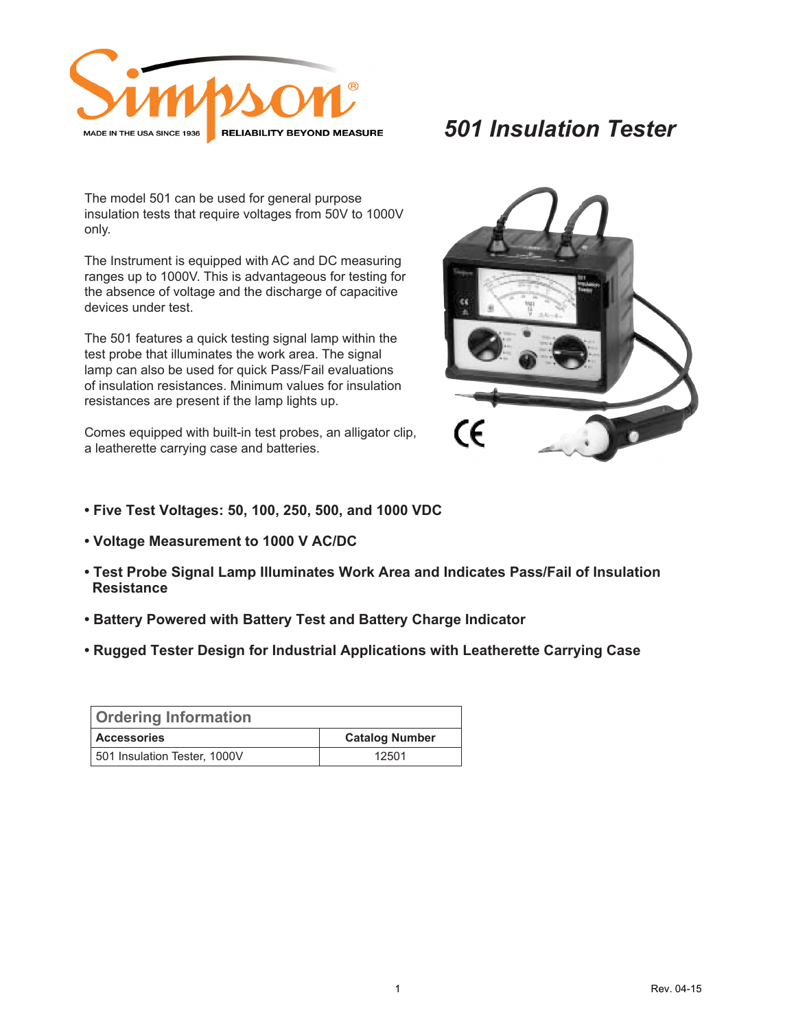

## *501 Insulation Tester*

The model 501 can be used for general purpose insulation tests that require voltages from 50V to 1000V only.

The Instrument is equipped with AC and DC measuring ranges up to 1000V. This is advantageous for testing for the absence of voltage and the discharge of capacitive devices under test.

The 501 features a quick testing signal lamp within the test probe that illuminates the work area. The signal lamp can also be used for quick Pass/Fail evaluations of insulation resistances. Minimum values for insulation resistances are present if the lamp lights up.

Comes equipped with built-in test probes, an alligator clip, a leatherette carrying case and batteries.



- **Five Test Voltages: 50, 100, 250, 500, and 1000 VDC**
- **Voltage Measurement to 1000 V AC/DC**
- **Test Probe Signal Lamp Illuminates Work Area and Indicates Pass/Fail of Insulation Resistance**
- **Battery Powered with Battery Test and Battery Charge Indicator**
- **Rugged Tester Design for Industrial Applications with Leatherette Carrying Case**

| <b>Ordering Information</b>  |                       |  |
|------------------------------|-----------------------|--|
| <b>Accessories</b>           | <b>Catalog Number</b> |  |
| 501 Insulation Tester, 1000V | 12501                 |  |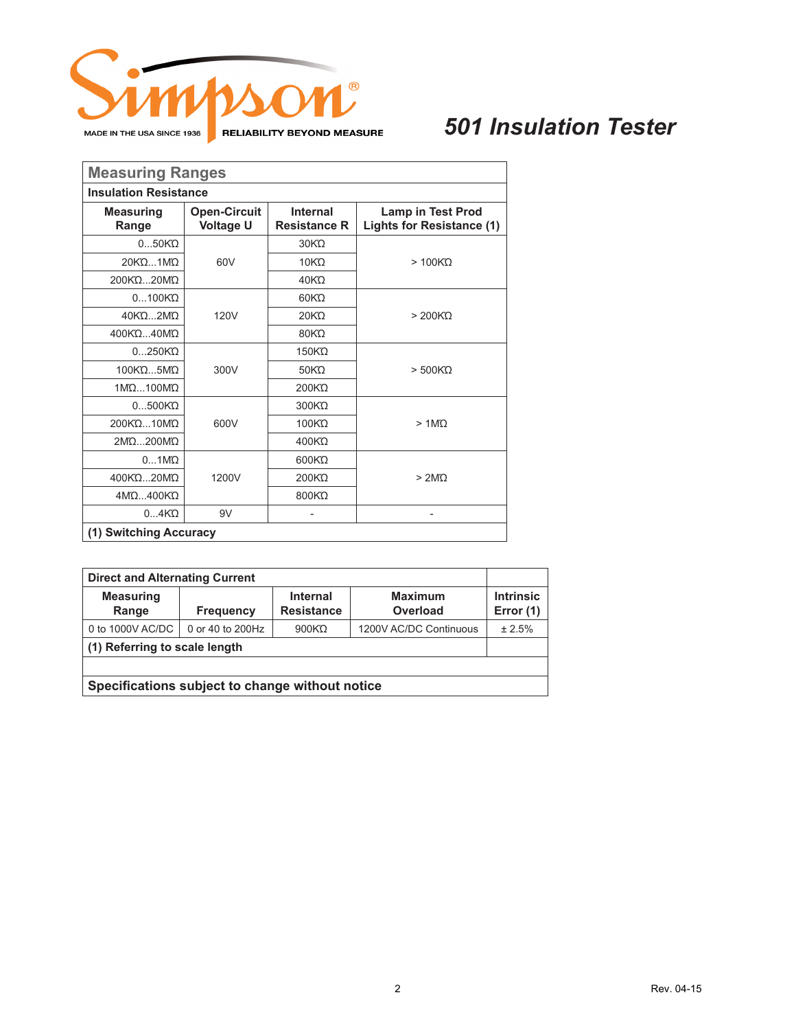

## *501 Insulation Tester*

| <b>Measuring Ranges</b>      |                                         |                                 |                                                              |  |  |
|------------------------------|-----------------------------------------|---------------------------------|--------------------------------------------------------------|--|--|
| <b>Insulation Resistance</b> |                                         |                                 |                                                              |  |  |
| <b>Measuring</b><br>Range    | <b>Open-Circuit</b><br><b>Voltage U</b> | Internal<br><b>Resistance R</b> | <b>Lamp in Test Prod</b><br><b>Lights for Resistance (1)</b> |  |  |
| $050K$ $\Omega$              |                                         | 30KQ                            |                                                              |  |  |
| 20ΚΩ1ΜΩ                      | 60V                                     | $10K\Omega$                     | $>100K$ $\Omega$                                             |  |  |
| 200KQ20MQ                    |                                         | 40K <sub>0</sub>                |                                                              |  |  |
| $0100K$ $\Omega$             |                                         | 60KQ                            |                                                              |  |  |
| 40KQ2MQ                      | 120V                                    | 20KQ                            | $>200K$ $\Omega$                                             |  |  |
| 400KQ40MQ                    |                                         | 80KQ                            |                                                              |  |  |
| $0250K\Omega$                |                                         | 150KΩ                           |                                                              |  |  |
| 100ΚΏ5ΜΏ                     | 300V                                    | 50KQ                            | $>500K\Omega$                                                |  |  |
| 1MQ100MQ                     |                                         | 200KQ                           |                                                              |  |  |
| $0500K$ $\Omega$             |                                         | 300KQ                           |                                                              |  |  |
| 200KQ10MQ                    | 600V                                    | 100KQ                           | $> 1$ M $\Omega$                                             |  |  |
| 2ΜΩ200ΜΩ                     |                                         | 400KΩ                           |                                                              |  |  |
| $01$ M $\Omega$              |                                         | 600KQ                           |                                                              |  |  |
| 400ΚΩ20ΜΏ                    | 1200V                                   | 200KQ                           | >2M <sub>O</sub>                                             |  |  |
| 4MQ400KQ                     |                                         | 800KΩ                           |                                                              |  |  |
| 04K <sup>T</sup>             | 9V                                      |                                 | $\qquad \qquad -$                                            |  |  |
| (1) Switching Accuracy       |                                         |                                 |                                                              |  |  |

| <b>Direct and Alternating Current</b>           |                  |                                      |                            |                               |
|-------------------------------------------------|------------------|--------------------------------------|----------------------------|-------------------------------|
| <b>Measuring</b><br>Range                       | <b>Frequency</b> | <b>Internal</b><br><b>Resistance</b> | <b>Maximum</b><br>Overload | <b>Intrinsic</b><br>Error (1) |
| 0 to 1000V AC/DC                                | 0 or 40 to 200Hz | $900K\Omega$                         | 1200V AC/DC Continuous     | ± 2.5%                        |
| (1) Referring to scale length                   |                  |                                      |                            |                               |
|                                                 |                  |                                      |                            |                               |
| Specifications subject to change without notice |                  |                                      |                            |                               |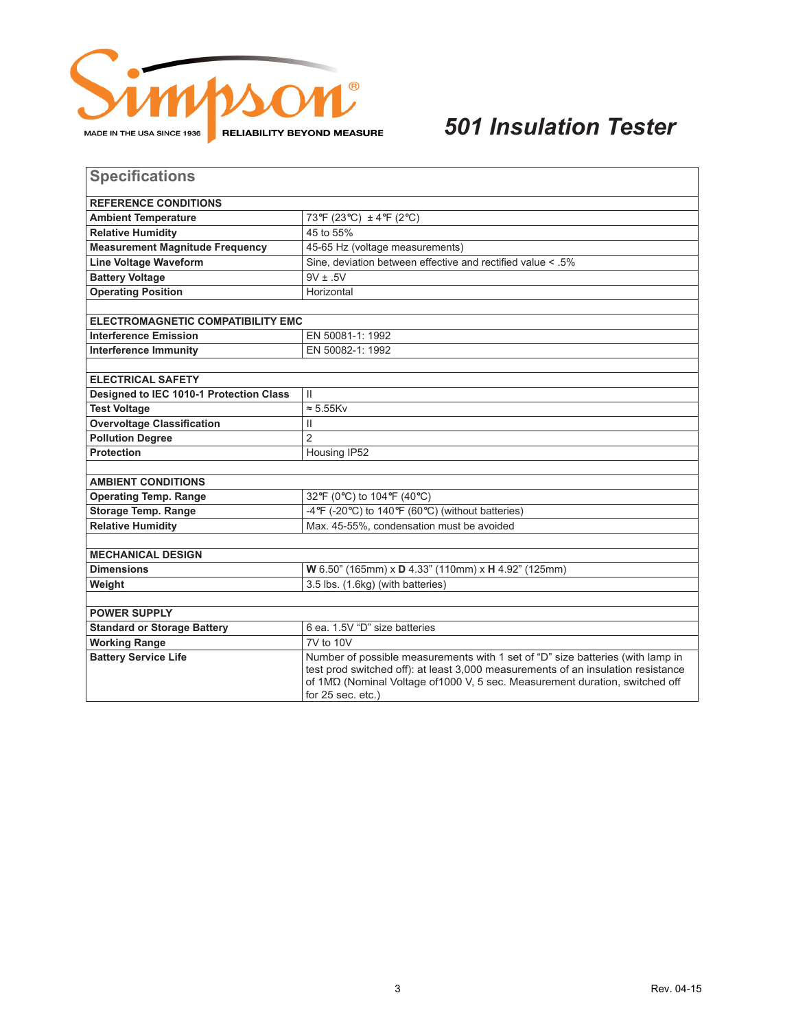

## *501 Insulation Tester*

| <b>Specifications</b>                   |                                                                                                                                                                                         |  |  |  |
|-----------------------------------------|-----------------------------------------------------------------------------------------------------------------------------------------------------------------------------------------|--|--|--|
| <b>REFERENCE CONDITIONS</b>             |                                                                                                                                                                                         |  |  |  |
| <b>Ambient Temperature</b>              | 73°F (23°C) ± 4°F (2°C)                                                                                                                                                                 |  |  |  |
| <b>Relative Humidity</b>                | 45 to 55%                                                                                                                                                                               |  |  |  |
| <b>Measurement Magnitude Frequency</b>  | 45-65 Hz (voltage measurements)                                                                                                                                                         |  |  |  |
| <b>Line Voltage Waveform</b>            | Sine, deviation between effective and rectified value < .5%                                                                                                                             |  |  |  |
| <b>Battery Voltage</b>                  | $9V \pm .5V$                                                                                                                                                                            |  |  |  |
| <b>Operating Position</b>               | Horizontal                                                                                                                                                                              |  |  |  |
|                                         |                                                                                                                                                                                         |  |  |  |
| ELECTROMAGNETIC COMPATIBILITY EMC       |                                                                                                                                                                                         |  |  |  |
| <b>Interference Emission</b>            | EN 50081-1: 1992                                                                                                                                                                        |  |  |  |
| <b>Interference Immunity</b>            | EN 50082-1: 1992                                                                                                                                                                        |  |  |  |
|                                         |                                                                                                                                                                                         |  |  |  |
| <b>ELECTRICAL SAFETY</b>                |                                                                                                                                                                                         |  |  |  |
| Designed to IEC 1010-1 Protection Class | $\mathbf{H}$                                                                                                                                                                            |  |  |  |
| <b>Test Voltage</b>                     | $\approx$ 5.55Kv                                                                                                                                                                        |  |  |  |
| <b>Overvoltage Classification</b>       | Ш                                                                                                                                                                                       |  |  |  |
| <b>Pollution Degree</b>                 | $\overline{2}$                                                                                                                                                                          |  |  |  |
| <b>Protection</b>                       | Housing IP52                                                                                                                                                                            |  |  |  |
|                                         |                                                                                                                                                                                         |  |  |  |
| <b>AMBIENT CONDITIONS</b>               |                                                                                                                                                                                         |  |  |  |
| <b>Operating Temp. Range</b>            | 32°F (0°C) to 104°F (40°C)                                                                                                                                                              |  |  |  |
| <b>Storage Temp. Range</b>              | -4°F (-20°C) to 140°F (60°C) (without batteries)                                                                                                                                        |  |  |  |
| <b>Relative Humidity</b>                | Max. 45-55%, condensation must be avoided                                                                                                                                               |  |  |  |
| <b>MECHANICAL DESIGN</b>                |                                                                                                                                                                                         |  |  |  |
| <b>Dimensions</b>                       | W 6.50" (165mm) x D 4.33" (110mm) x H 4.92" (125mm)                                                                                                                                     |  |  |  |
| Weight                                  | 3.5 lbs. (1.6kg) (with batteries)                                                                                                                                                       |  |  |  |
|                                         |                                                                                                                                                                                         |  |  |  |
| <b>POWER SUPPLY</b>                     |                                                                                                                                                                                         |  |  |  |
| <b>Standard or Storage Battery</b>      | 6 ea. 1.5V "D" size batteries                                                                                                                                                           |  |  |  |
| <b>Working Range</b>                    | 7V to 10V                                                                                                                                                                               |  |  |  |
| <b>Battery Service Life</b>             | Number of possible measurements with 1 set of "D" size batteries (with lamp in                                                                                                          |  |  |  |
|                                         | test prod switched off): at least 3,000 measurements of an insulation resistance<br>of 1M2 (Nominal Voltage of 1000 V, 5 sec. Measurement duration, switched off<br>for $25$ sec. etc.) |  |  |  |